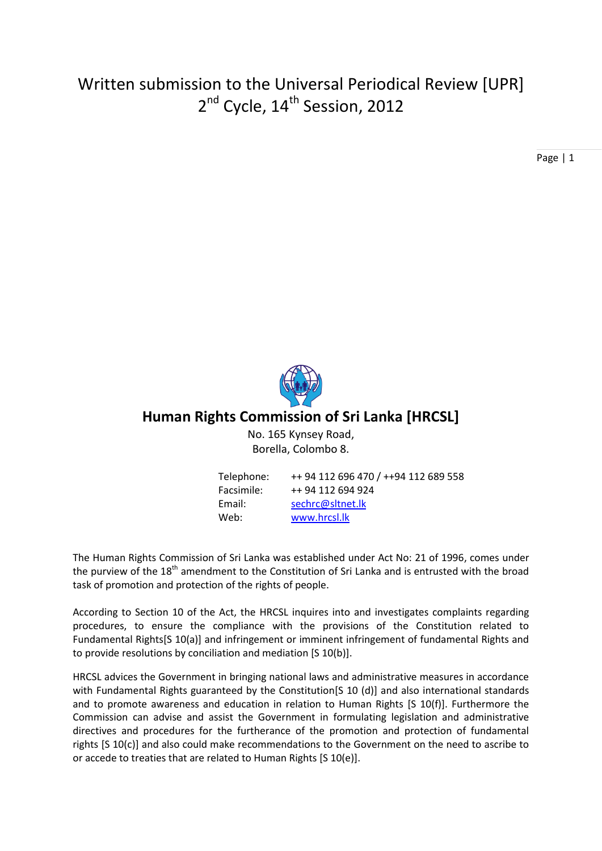# Written submission to the Universal Periodical Review [UPR] 2<sup>nd</sup> Cycle, 14<sup>th</sup> Session, 2012

Page | 1



## **Human Rights Commission of Sri Lanka [HRCSL]**

No. 165 Kynsey Road, Borella, Colombo 8.

| Telephone: | ++ 94 112 696 470 / ++94 112 689 558 |
|------------|--------------------------------------|
| Facsimile: | ++ 94 112 694 924                    |
| Email:     | sechrc@sltnet.lk                     |
| Web:       | www.hrcsl.lk                         |

The Human Rights Commission of Sri Lanka was established under Act No: 21 of 1996, comes under the purview of the 18<sup>th</sup> amendment to the Constitution of Sri Lanka and is entrusted with the broad task of promotion and protection of the rights of people.

According to Section 10 of the Act, the HRCSL inquires into and investigates complaints regarding procedures, to ensure the compliance with the provisions of the Constitution related to Fundamental Rights[S 10(a)] and infringement or imminent infringement of fundamental Rights and to provide resolutions by conciliation and mediation [S 10(b)].

HRCSL advices the Government in bringing national laws and administrative measures in accordance with Fundamental Rights guaranteed by the Constitution[S 10 (d)] and also international standards and to promote awareness and education in relation to Human Rights [S 10(f)]. Furthermore the Commission can advise and assist the Government in formulating legislation and administrative directives and procedures for the furtherance of the promotion and protection of fundamental rights [S 10(c)] and also could make recommendations to the Government on the need to ascribe to or accede to treaties that are related to Human Rights [S 10(e)].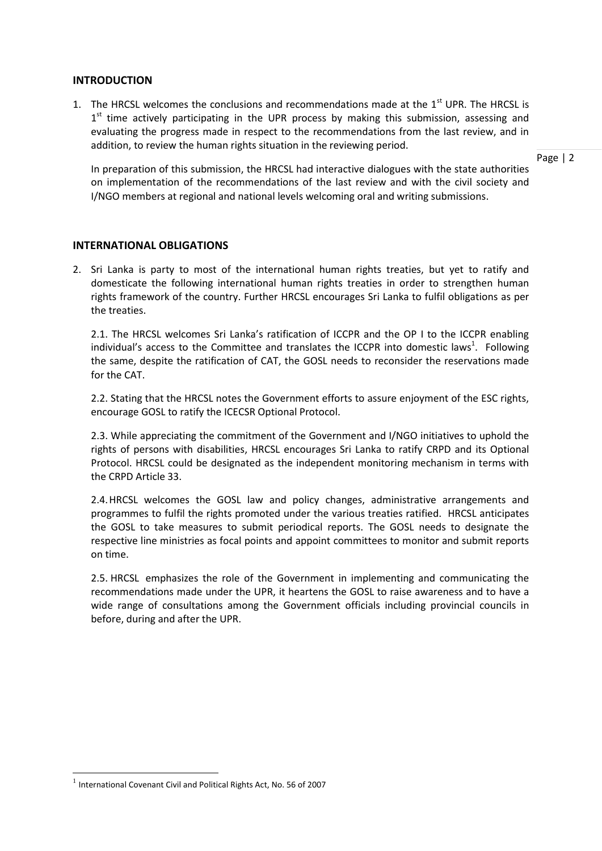#### **INTRODUCTION**

1. The HRCSL welcomes the conclusions and recommendations made at the  $1<sup>st</sup>$  UPR. The HRCSL is 1<sup>st</sup> time actively participating in the UPR process by making this submission, assessing and evaluating the progress made in respect to the recommendations from the last review, and in addition, to review the human rights situation in the reviewing period.

In preparation of this submission, the HRCSL had interactive dialogues with the state authorities on implementation of the recommendations of the last review and with the civil society and I/NGO members at regional and national levels welcoming oral and writing submissions.

#### **INTERNATIONAL OBLIGATIONS**

2. Sri Lanka is party to most of the international human rights treaties, but yet to ratify and domesticate the following international human rights treaties in order to strengthen human rights framework of the country. Further HRCSL encourages Sri Lanka to fulfil obligations as per the treaties.

2.1. The HRCSL welcomes Sri Lanka's ratification of ICCPR and the OP I to the ICCPR enabling individual's access to the Committee and translates the ICCPR into domestic laws<sup>1</sup>. Following the same, despite the ratification of CAT, the GOSL needs to reconsider the reservations made for the CAT.

2.2. Stating that the HRCSL notes the Government efforts to assure enjoyment of the ESC rights, encourage GOSL to ratify the ICECSR Optional Protocol.

2.3. While appreciating the commitment of the Government and I/NGO initiatives to uphold the rights of persons with disabilities, HRCSL encourages Sri Lanka to ratify CRPD and its Optional Protocol. HRCSL could be designated as the independent monitoring mechanism in terms with the CRPD Article 33.

2.4.HRCSL welcomes the GOSL law and policy changes, administrative arrangements and programmes to fulfil the rights promoted under the various treaties ratified. HRCSL anticipates the GOSL to take measures to submit periodical reports. The GOSL needs to designate the respective line ministries as focal points and appoint committees to monitor and submit reports on time.

2.5. HRCSL emphasizes the role of the Government in implementing and communicating the recommendations made under the UPR, it heartens the GOSL to raise awareness and to have a wide range of consultations among the Government officials including provincial councils in before, during and after the UPR.

1

 $<sup>1</sup>$  International Covenant Civil and Political Rights Act, No. 56 of 2007</sup>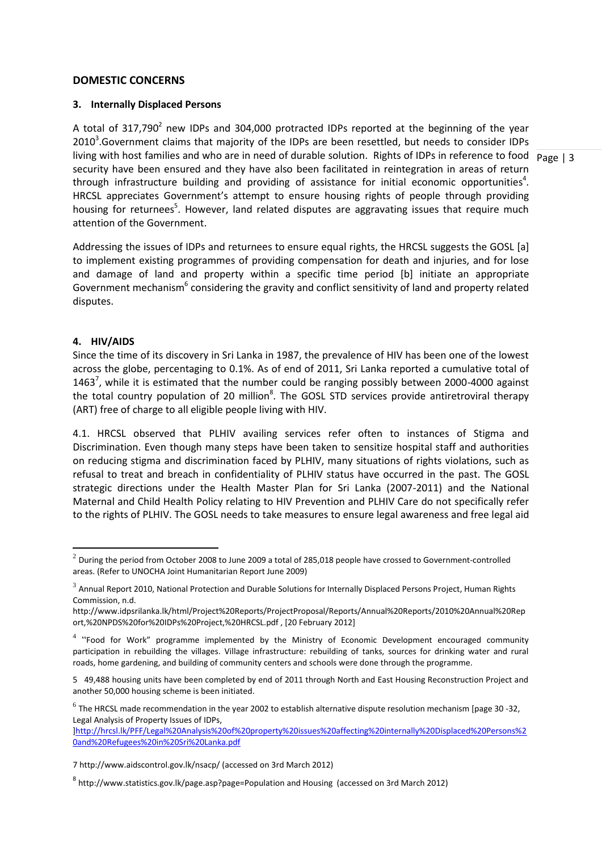#### **DOMESTIC CONCERNS**

#### **3. Internally Displaced Persons**

living with host families and who are in need of durable solution. Rights of IDPs in reference to food Page | 3 A total of 317,790<sup>2</sup> new IDPs and 304,000 protracted IDPs reported at the beginning of the year  $2010<sup>3</sup>$ . Government claims that majority of the IDPs are been resettled, but needs to consider IDPs security have been ensured and they have also been facilitated in reintegration in areas of return through infrastructure building and providing of assistance for initial economic opportunities<sup>4</sup>. HRCSL appreciates Government's attempt to ensure housing rights of people through providing housing for returnees<sup>5</sup>. However, land related disputes are aggravating issues that require much attention of the Government.

Addressing the issues of IDPs and returnees to ensure equal rights, the HRCSL suggests the GOSL [a] to implement existing programmes of providing compensation for death and injuries, and for lose and damage of land and property within a specific time period [b] initiate an appropriate Government mechanism<sup>6</sup> considering the gravity and conflict sensitivity of land and property related disputes.

#### **4. HIV/AIDS**

Since the time of its discovery in Sri Lanka in 1987, the prevalence of HIV has been one of the lowest across the globe, percentaging to 0.1%. As of end of 2011, Sri Lanka reported a cumulative total of 1463<sup>7</sup>, while it is estimated that the number could be ranging possibly between 2000-4000 against the total country population of 20 million<sup>8</sup>. The GOSL STD services provide antiretroviral therapy (ART) free of charge to all eligible people living with HIV.

4.1. HRCSL observed that PLHIV availing services refer often to instances of Stigma and Discrimination. Even though many steps have been taken to sensitize hospital staff and authorities on reducing stigma and discrimination faced by PLHIV, many situations of rights violations, such as refusal to treat and breach in confidentiality of PLHIV status have occurred in the past. The GOSL strategic directions under the Health Master Plan for Sri Lanka (2007-2011) and the National Maternal and Child Health Policy relating to HIV Prevention and PLHIV Care do not specifically refer to the rights of PLHIV. The GOSL needs to take measures to ensure legal awareness and free legal aid

 2 During the period from October 2008 to June 2009 a total of 285,018 people have crossed to Government-controlled areas. (Refer to UNOCHA Joint Humanitarian Report June 2009)

 $^3$  Annual Report 2010, National Protection and Durable Solutions for Internally Displaced Persons Project, Human Rights Commission, n.d.

http://www.idpsrilanka.lk/html/Project%20Reports/ProjectProposal/Reports/Annual%20Reports/2010%20Annual%20Rep ort,%20NPDS%20for%20IDPs%20Project,%20HRCSL.pdf , [20 February 2012]

<sup>&</sup>lt;sup>4</sup> "Food for Work" programme implemented by the Ministry of Economic Development encouraged community participation in rebuilding the villages. Village infrastructure: rebuilding of tanks, sources for drinking water and rural roads, home gardening, and building of community centers and schools were done through the programme.

<sup>5 49,488</sup> housing units have been completed by end of 2011 through North and East Housing Reconstruction Project and another 50,000 housing scheme is been initiated.

 $^6$  The HRCSL made recommendation in the year 2002 to establish alternative dispute resolution mechanism [page 30 -32, Legal Analysis of Property Issues of IDPs,

[<sup>\]</sup>http://hrcsl.lk/PFF/Legal%20Analysis%20of%20property%20issues%20affecting%20internally%20Displaced%20Persons%2](http://hrcsl.lk/PFF/Legal%20Analysis%20of%20property%20issues%20affecting%20internally%20Displaced%20Persons%20and%20Refugees%20in%20Sri%20Lanka.pdf) [0and%20Refugees%20in%20Sri%20Lanka.pdf](http://hrcsl.lk/PFF/Legal%20Analysis%20of%20property%20issues%20affecting%20internally%20Displaced%20Persons%20and%20Refugees%20in%20Sri%20Lanka.pdf)

<sup>7</sup> <http://www.aidscontrol.gov.lk/nsacp/> (accessed on 3rd March 2012)

<sup>8</sup> <http://www.statistics.gov.lk/page.asp?page=Population> and Housing (accessed on 3rd March 2012)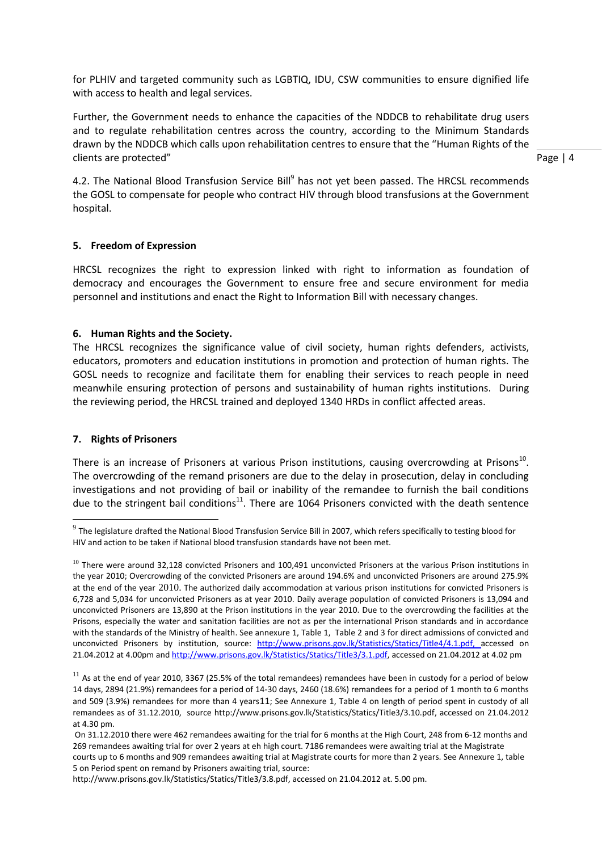for PLHIV and targeted community such as LGBTIQ, IDU, CSW communities to ensure dignified life with access to health and legal services.

Further, the Government needs to enhance the capacities of the NDDCB to rehabilitate drug users and to regulate rehabilitation centres across the country, according to the Minimum Standards drawn by the NDDCB which calls upon rehabilitation centres to ensure that the "Human Rights of the clients are protected"

Page | 4

4.2. The National Blood Transfusion Service Bill<sup>9</sup> has not yet been passed. The HRCSL recommends the GOSL to compensate for people who contract HIV through blood transfusions at the Government hospital.

#### **5. Freedom of Expression**

HRCSL recognizes the right to expression linked with right to information as foundation of democracy and encourages the Government to ensure free and secure environment for media personnel and institutions and enact the Right to Information Bill with necessary changes.

#### **6. Human Rights and the Society.**

The HRCSL recognizes the significance value of civil society, human rights defenders, activists, educators, promoters and education institutions in promotion and protection of human rights. The GOSL needs to recognize and facilitate them for enabling their services to reach people in need meanwhile ensuring protection of persons and sustainability of human rights institutions. During the reviewing period, the HRCSL trained and deployed 1340 HRDs in conflict affected areas.

#### **7. Rights of Prisoners**

-

There is an increase of Prisoners at various Prison institutions, causing overcrowding at Prisons<sup>10</sup>. The overcrowding of the remand prisoners are due to the delay in prosecution, delay in concluding investigations and not providing of bail or inability of the remandee to furnish the bail conditions due to the stringent bail conditions<sup>11</sup>. There are 1064 Prisoners convicted with the death sentence

[http://www.prisons.gov.lk/Statistics/Statics/Title3/3.8.pdf,](http://www.prisons.gov.lk/Statistics/Statics/Title3/3.8.pdf) accessed on 21.04.2012 at. 5.00 pm.

 $^9$  The legislature drafted the National Blood Transfusion Service Bill in 2007, which refers specifically to testing blood for HIV and action to be taken if National blood transfusion standards have not been met.

 $10$  There were around 32,128 convicted Prisoners and 100,491 unconvicted Prisoners at the various Prison institutions in the year 2010; Overcrowding of the convicted Prisoners are around 194.6% and unconvicted Prisoners are around 275.9% at the end of the year 2010. The authorized daily accommodation at various prison institutions for convicted Prisoners is 6,728 and 5,034 for unconvicted Prisoners as at year 2010. Daily average population of convicted Prisoners is 13,094 and unconvicted Prisoners are 13,890 at the Prison institutions in the year 2010. Due to the overcrowding the facilities at the Prisons, especially the water and sanitation facilities are not as per the international Prison standards and in accordance with the standards of the Ministry of health. See annexure 1, Table 1, Table 2 and 3 for direct admissions of convicted and unconvicted Prisoners by institution, source: [http://www.prisons.gov.lk/Statistics/Statics/Title4/4.1.pdf, a](http://www.prisons.gov.lk/Statistics/Statics/Title4/4.1.pdf,)ccessed on 21.04.2012 at 4.00pm an[d http://www.prisons.gov.lk/Statistics/Statics/Title3/3.1.pdf,](http://www.prisons.gov.lk/Statistics/Statics/Title3/3.1.pdf) accessed on 21.04.2012 at 4.02 pm

 $11$  As at the end of year 2010, 3367 (25.5% of the total remandees) remandees have been in custody for a period of below 14 days, 2894 (21.9%) remandees for a period of 14-30 days, 2460 (18.6%) remandees for a period of 1 month to 6 months and 509 (3.9%) remandees for more than 4 years11; See Annexure 1, Table 4 on length of period spent in custody of all remandees as of 31.12.2010, source [http://www.prisons.gov.lk/Statistics/Statics/Title3/3.10.pdf,](http://www.prisons.gov.lk/Statistics/Statics/Title3/3.10.pdf) accessed on 21.04.2012 at 4.30 pm.

On 31.12.2010 there were 462 remandees awaiting for the trial for 6 months at the High Court, 248 from 6-12 months and 269 remandees awaiting trial for over 2 years at eh high court. 7186 remandees were awaiting trial at the Magistrate courts up to 6 months and 909 remandees awaiting trial at Magistrate courts for more than 2 years. See Annexure 1, table 5 on Period spent on remand by Prisoners awaiting trial, source: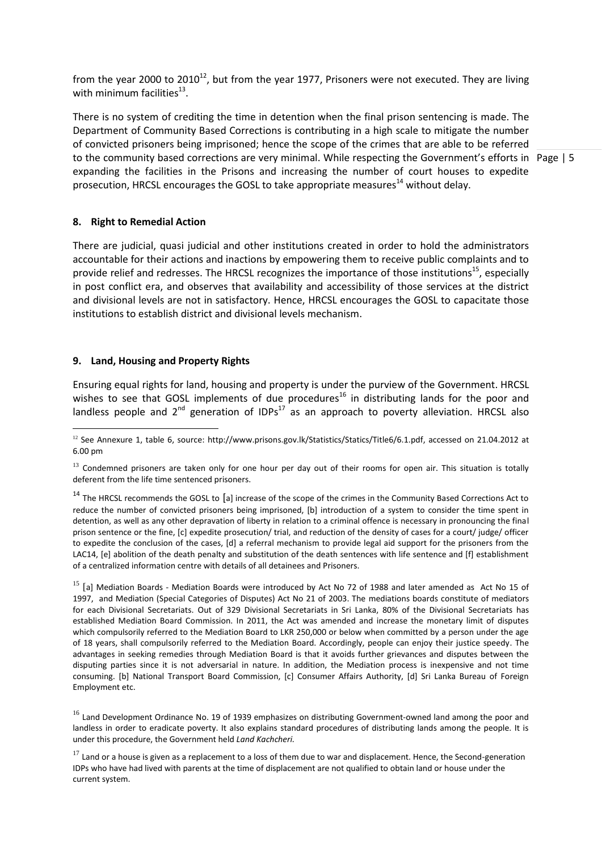from the year 2000 to 2010<sup>12</sup>, but from the year 1977, Prisoners were not executed. They are living with minimum facilities $^{13}$ .

to the community based corrections are very minimal. While respecting the Government's efforts in Page | 5 There is no system of crediting the time in detention when the final prison sentencing is made. The Department of Community Based Corrections is contributing in a high scale to mitigate the number of convicted prisoners being imprisoned; hence the scope of the crimes that are able to be referred expanding the facilities in the Prisons and increasing the number of court houses to expedite prosecution, HRCSL encourages the GOSL to take appropriate measures<sup>14</sup> without delay.

**8. Right to Remedial Action** 

There are judicial, quasi judicial and other institutions created in order to hold the administrators accountable for their actions and inactions by empowering them to receive public complaints and to provide relief and redresses. The HRCSL recognizes the importance of those institutions<sup>15</sup>, especially in post conflict era, and observes that availability and accessibility of those services at the district and divisional levels are not in satisfactory. Hence, HRCSL encourages the GOSL to capacitate those institutions to establish district and divisional levels mechanism.

#### **9. Land, Housing and Property Rights**

-

Ensuring equal rights for land, housing and property is under the purview of the Government. HRCSL wishes to see that GOSL implements of due procedures<sup>16</sup> in distributing lands for the poor and landless people and  $2^{nd}$  generation of IDPs<sup>17</sup> as an approach to poverty alleviation. HRCSL also

 $14$  The HRCSL recommends the GOSL to [a] increase of the scope of the crimes in the Community Based Corrections Act to reduce the number of convicted prisoners being imprisoned, [b] introduction of a system to consider the time spent in detention, as well as any other depravation of liberty in relation to a criminal offence is necessary in pronouncing the final prison sentence or the fine, [c] expedite prosecution/ trial, and reduction of the density of cases for a court/ judge/ officer to expedite the conclusion of the cases, [d] a referral mechanism to provide legal aid support for the prisoners from the LAC14, [e] abolition of the death penalty and substitution of the death sentences with life sentence and [f] establishment of a centralized information centre with details of all detainees and Prisoners.

 $^{15}$  [a] Mediation Boards - Mediation Boards were introduced by Act No 72 of 1988 and later amended as Act No 15 of 1997, and Mediation (Special Categories of Disputes) Act No 21 of 2003. The mediations boards constitute of mediators for each Divisional Secretariats. Out of 329 Divisional Secretariats in Sri Lanka, 80% of the Divisional Secretariats has established Mediation Board Commission. In 2011, the Act was amended and increase the monetary limit of disputes which compulsorily referred to the Mediation Board to LKR 250,000 or below when committed by a person under the age of 18 years, shall compulsorily referred to the Mediation Board. Accordingly, people can enjoy their justice speedy. The advantages in seeking remedies through Mediation Board is that it avoids further grievances and disputes between the disputing parties since it is not adversarial in nature. In addition, the Mediation process is inexpensive and not time consuming. [b] National Transport Board Commission, [c] Consumer Affairs Authority, [d] Sri Lanka Bureau of Foreign Employment etc.

<sup>16</sup> Land Development Ordinance No. 19 of 1939 emphasizes on distributing Government-owned land among the poor and landless in order to eradicate poverty. It also explains standard procedures of distributing lands among the people. It is under this procedure, the Government held *Land Kachcheri.* 

 $17$  Land or a house is given as a replacement to a loss of them due to war and displacement. Hence, the Second-generation IDPs who have had lived with parents at the time of displacement are not qualified to obtain land or house under the current system.

 $12$  See Annexure 1, table 6, source: [http://www.prisons.gov.lk/Statistics/Statics/Title6/6.1.pdf,](http://www.prisons.gov.lk/Statistics/Statics/Title6/6.1.pdf) accessed on 21.04.2012 at 6.00 pm

<sup>&</sup>lt;sup>13</sup> Condemned prisoners are taken only for one hour per day out of their rooms for open air. This situation is totally deferent from the life time sentenced prisoners.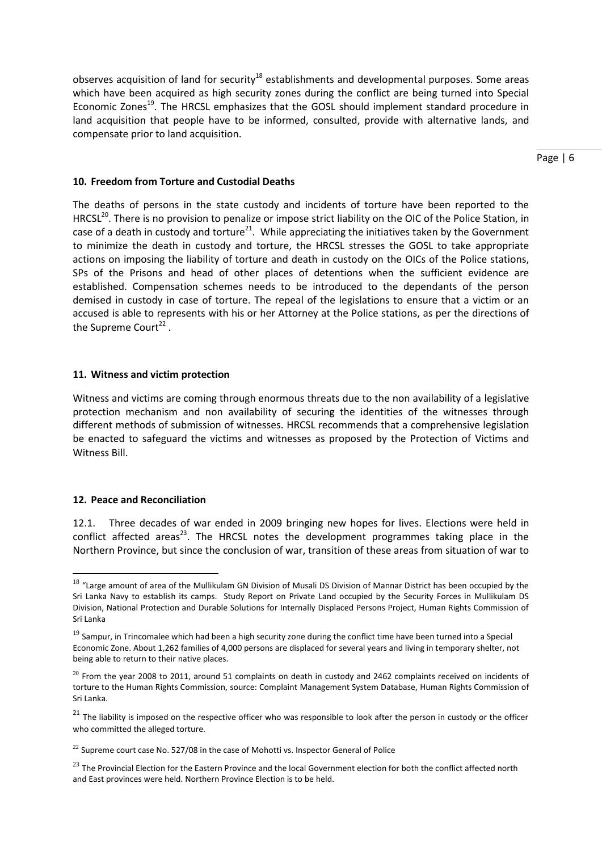observes acquisition of land for security<sup>18</sup> establishments and developmental purposes. Some areas which have been acquired as high security zones during the conflict are being turned into Special Economic Zones<sup>19</sup>. The HRCSL emphasizes that the GOSL should implement standard procedure in land acquisition that people have to be informed, consulted, provide with alternative lands, and compensate prior to land acquisition.

Page | 6

#### **10. Freedom from Torture and Custodial Deaths**

The deaths of persons in the state custody and incidents of torture have been reported to the HRCSL<sup>20</sup>. There is no provision to penalize or impose strict liability on the OIC of the Police Station, in case of a death in custody and torture<sup>21</sup>. While appreciating the initiatives taken by the Government to minimize the death in custody and torture, the HRCSL stresses the GOSL to take appropriate actions on imposing the liability of torture and death in custody on the OICs of the Police stations, SPs of the Prisons and head of other places of detentions when the sufficient evidence are established. Compensation schemes needs to be introduced to the dependants of the person demised in custody in case of torture. The repeal of the legislations to ensure that a victim or an accused is able to represents with his or her Attorney at the Police stations, as per the directions of the Supreme Court<sup>22</sup>.

#### **11. Witness and victim protection**

Witness and victims are coming through enormous threats due to the non availability of a legislative protection mechanism and non availability of securing the identities of the witnesses through different methods of submission of witnesses. HRCSL recommends that a comprehensive legislation be enacted to safeguard the victims and witnesses as proposed by the Protection of Victims and Witness Bill.

#### **12. Peace and Reconciliation**

-

12.1. Three decades of war ended in 2009 bringing new hopes for lives. Elections were held in conflict affected areas<sup>23</sup>. The HRCSL notes the development programmes taking place in the Northern Province, but since the conclusion of war, transition of these areas from situation of war to

 $18$  "Large amount of area of the Mullikulam GN Division of Musali DS Division of Mannar District has been occupied by the Sri Lanka Navy to establish its camps. Study Report on Private Land occupied by the Security Forces in Mullikulam DS Division, National Protection and Durable Solutions for Internally Displaced Persons Project, Human Rights Commission of Sri Lanka

 $19$  Sampur, in Trincomalee which had been a high security zone during the conflict time have been turned into a Special Economic Zone. About 1,262 families of 4,000 persons are displaced for several years and living in temporary shelter, not being able to return to their native places.

 $^{20}$  From the year 2008 to 2011, around 51 complaints on death in custody and 2462 complaints received on incidents of torture to the Human Rights Commission, source: Complaint Management System Database, Human Rights Commission of Sri Lanka.

 $21$  The liability is imposed on the respective officer who was responsible to look after the person in custody or the officer who committed the alleged torture.

 $22$  Supreme court case No. 527/08 in the case of Mohotti vs. Inspector General of Police

<sup>&</sup>lt;sup>23</sup> The Provincial Election for the Eastern Province and the local Government election for both the conflict affected north and East provinces were held. Northern Province Election is to be held.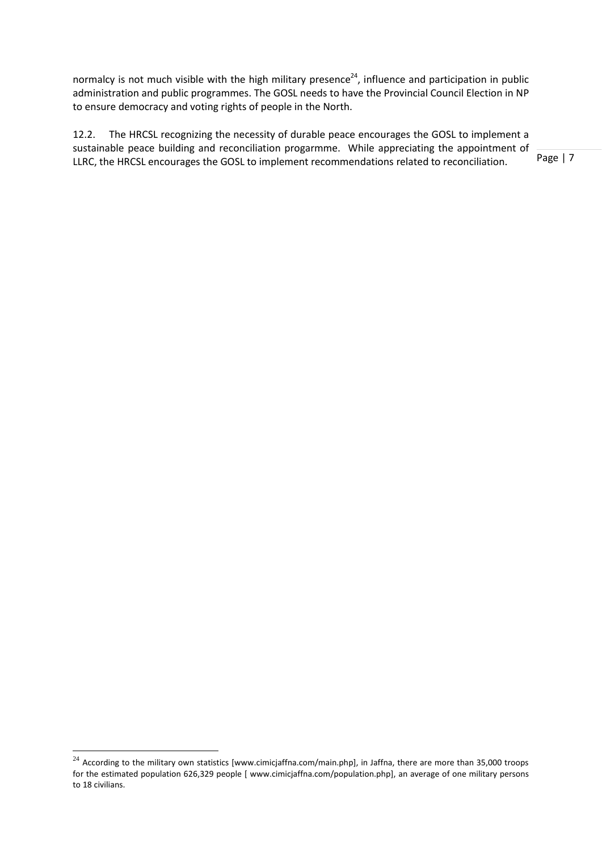normalcy is not much visible with the high military presence<sup>24</sup>, influence and participation in public administration and public programmes. The GOSL needs to have the Provincial Council Election in NP to ensure democracy and voting rights of people in the North.

12.2. The HRCSL recognizing the necessity of durable peace encourages the GOSL to implement a sustainable peace building and reconciliation progarmme. While appreciating the appointment of LLRC, the HRCSL encourages the GOSL to implement recommendations related to reconciliation.

Page | 7

**.** 

 $^{24}$  According to the military own statistics [www.cimicjaffna.com/main.php], in Jaffna, there are more than 35,000 troops for the estimated population 626,329 people [ [www.cimicjaffna.com/population.php\]](http://www.cimicjaffna.com/population.php), an average of one military persons to 18 civilians.